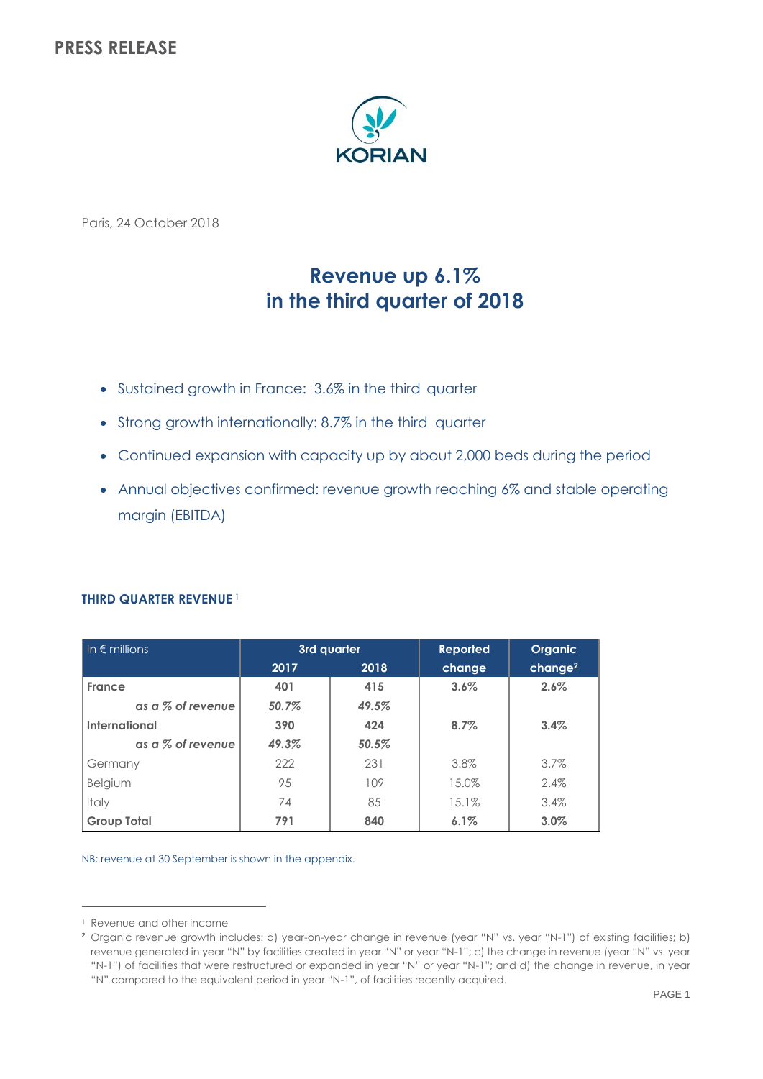## **PRESS RELEASE**



Paris, 24 October 2018

# **Revenue up 6.1% in the third quarter of 2018**

- Sustained growth in France: 3.6% in the third quarter
- Strong growth internationally: 8.7% in the third quarter
- Continued expansion with capacity up by about 2,000 beds during the period
- Annual objectives confirmed: revenue growth reaching 6% and stable operating margin (EBITDA)

| In $\epsilon$ millions | 3rd quarter |       | <b>Reported</b> | Organic             |
|------------------------|-------------|-------|-----------------|---------------------|
|                        | 2017        | 2018  | change          | change <sup>2</sup> |
| France                 | 401         | 415   | 3.6%            | 2.6%                |
| as a % of revenue      | 50.7%       | 49.5% |                 |                     |
| International          | 390         | 424   | 8.7%            | 3.4%                |
| as a % of revenue      | 49.3%       | 50.5% |                 |                     |
| Germany                | 222         | 231   | 3.8%            | 3.7%                |
| Belgium                | 95          | 109   | 15.0%           | 2.4%                |
| Italy                  | 74          | 85    | 15.1%           | 3.4%                |
| <b>Group Total</b>     | 791         | 840   | 6.1%            | 3.0%                |

## **THIRD QUARTER REVENUE** <sup>1</sup>

NB: revenue at 30 September is shown in the appendix.

 $\overline{a}$ 

<sup>&</sup>lt;sup>1</sup> Revenue and other income

**<sup>2</sup>** Organic revenue growth includes: a) year-on-year change in revenue (year "N" vs. year "N-1") of existing facilities; b) revenue generated in year "N" by facilities created in year "N" or year "N-1"; c) the change in revenue (year "N" vs. year "N-1") of facilities that were restructured or expanded in year "N" or year "N-1"; and d) the change in revenue, in year "N" compared to the equivalent period in year "N-1", of facilities recently acquired.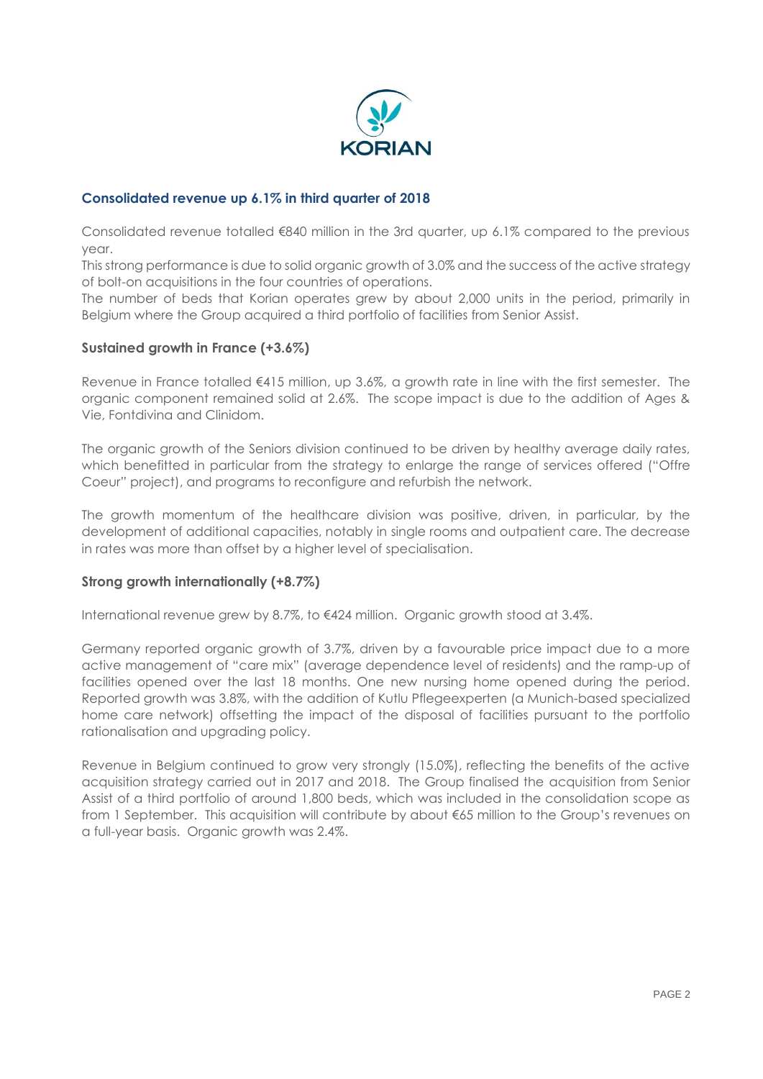

## **Consolidated revenue up 6.1% in third quarter of 2018**

Consolidated revenue totalled €840 million in the 3rd quarter, up 6.1% compared to the previous year.

This strong performance is due to solid organic growth of 3.0% and the success of the active strategy of bolt-on acquisitions in the four countries of operations.

The number of beds that Korian operates grew by about 2,000 units in the period, primarily in Belgium where the Group acquired a third portfolio of facilities from Senior Assist.

## **Sustained growth in France (+3.6%)**

Revenue in France totalled €415 million, up 3.6%, a growth rate in line with the first semester. The organic component remained solid at 2.6%. The scope impact is due to the addition of Ages & Vie, Fontdivina and Clinidom.

The organic growth of the Seniors division continued to be driven by healthy average daily rates, which benefitted in particular from the strategy to enlarge the range of services offered ("Offre Coeur" project), and programs to reconfigure and refurbish the network.

The growth momentum of the healthcare division was positive, driven, in particular, by the development of additional capacities, notably in single rooms and outpatient care. The decrease in rates was more than offset by a higher level of specialisation.

## **Strong growth internationally (+8.7%)**

International revenue grew by 8.7%, to €424 million. Organic growth stood at 3.4%.

Germany reported organic growth of 3.7%, driven by a favourable price impact due to a more active management of "care mix" (average dependence level of residents) and the ramp-up of facilities opened over the last 18 months. One new nursing home opened during the period. Reported growth was 3.8%, with the addition of Kutlu Pflegeexperten (a Munich-based specialized home care network) offsetting the impact of the disposal of facilities pursuant to the portfolio rationalisation and upgrading policy.

Revenue in Belgium continued to grow very strongly (15.0%), reflecting the benefits of the active acquisition strategy carried out in 2017 and 2018. The Group finalised the acquisition from Senior Assist of a third portfolio of around 1,800 beds, which was included in the consolidation scope as from 1 September. This acquisition will contribute by about €65 million to the Group's revenues on a full-year basis. Organic growth was 2.4%.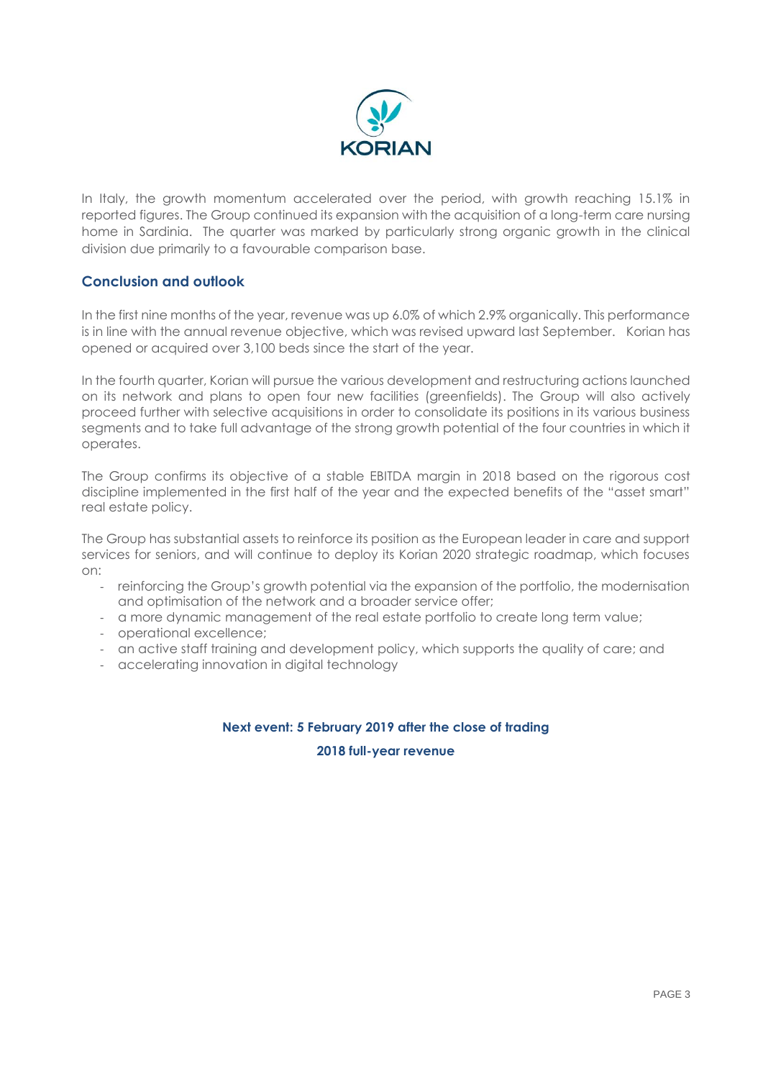

In Italy, the growth momentum accelerated over the period, with growth reaching 15.1% in reported figures. The Group continued its expansion with the acquisition of a long-term care nursing home in Sardinia. The quarter was marked by particularly strong organic growth in the clinical division due primarily to a favourable comparison base.

## **Conclusion and outlook**

In the first nine months of the year, revenue was up 6.0% of which 2.9% organically. This performance is in line with the annual revenue objective, which was revised upward last September. Korian has opened or acquired over 3,100 beds since the start of the year.

In the fourth quarter, Korian will pursue the various development and restructuring actions launched on its network and plans to open four new facilities (greenfields). The Group will also actively proceed further with selective acquisitions in order to consolidate its positions in its various business segments and to take full advantage of the strong growth potential of the four countries in which it operates.

The Group confirms its objective of a stable EBITDA margin in 2018 based on the rigorous cost discipline implemented in the first half of the year and the expected benefits of the "asset smart" real estate policy.

The Group has substantial assets to reinforce its position as the European leader in care and support services for seniors, and will continue to deploy its Korian 2020 strategic roadmap, which focuses on:

- reinforcing the Group's growth potential via the expansion of the portfolio, the modernisation and optimisation of the network and a broader service offer;
- a more dynamic management of the real estate portfolio to create long term value;
- operational excellence;
- an active staff training and development policy, which supports the quality of care; and
- accelerating innovation in digital technology

# **Next event: 5 February 2019 after the close of trading**

**2018 full-year revenue**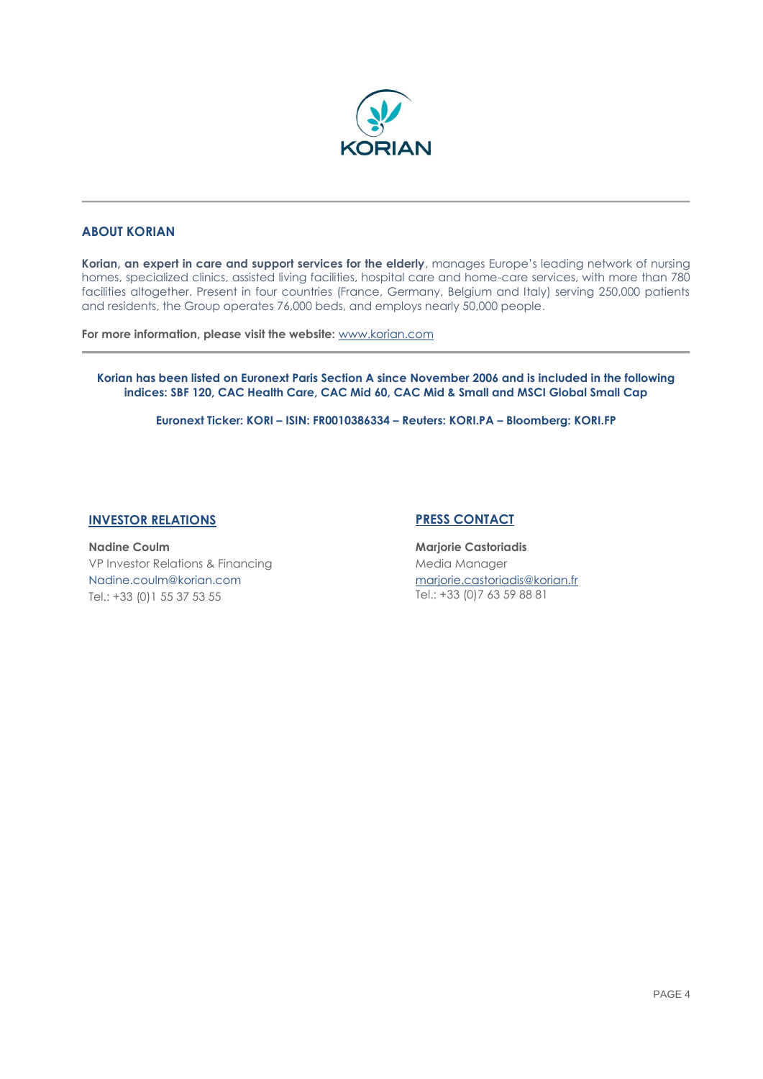

## **ABOUT KORIAN**

**Korian, an expert in care and support services for the elderly**, manages Europe's leading network of nursing homes, specialized clinics, assisted living facilities, hospital care and home-care services, with more than 780 facilities altogether. Present in four countries (France, Germany, Belgium and Italy) serving 250,000 patients and residents, the Group operates 76,000 beds, and employs nearly 50,000 people.

**For more information, please visit the website:** [www.korian.com](http://www.korian.com/)

**Korian has been listed on Euronext Paris Section A since November 2006 and is included in the following indices: SBF 120, CAC Health Care, CAC Mid 60, CAC Mid & Small and MSCI Global Small Cap**

**Euronext Ticker: KORI – ISIN: FR0010386334 – Reuters: KORI.PA – Bloomberg: KORI.FP**

## **INVESTOR RELATIONS PRESS CONTACT**

**Nadine Coulm** VP Investor Relations & Financing Nadine.coulm@korian.com Tel.: +33 (0)1 55 37 53 55

**Marjorie Castoriadis** Media Manager [marjorie.castoriadis@korian.fr](mailto:caroline.de-jessey@korian.com) Tel.: +33 (0)7 63 59 88 81